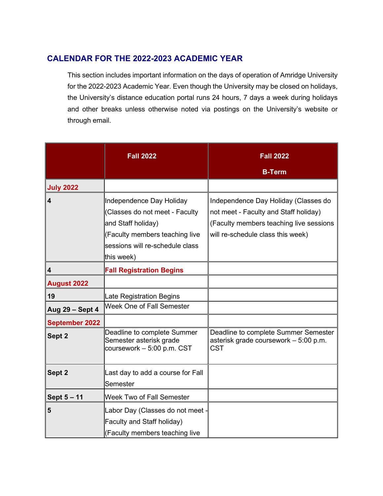## **CALENDAR FOR THE 2022-2023 ACADEMIC YEAR**

This section includes important information on the days of operation of Amridge University for the 2022-2023 Academic Year. Even though the University may be closed on holidays, the University's distance education portal runs 24 hours, 7 days a week during holidays and other breaks unless otherwise noted via postings on the University's website or through email.

|                         | <b>Fall 2022</b>                                                                                                                                                    | <b>Fall 2022</b>                                                                                                                                              |
|-------------------------|---------------------------------------------------------------------------------------------------------------------------------------------------------------------|---------------------------------------------------------------------------------------------------------------------------------------------------------------|
|                         |                                                                                                                                                                     | <b>B-Term</b>                                                                                                                                                 |
| <b>July 2022</b>        |                                                                                                                                                                     |                                                                                                                                                               |
| $\overline{\mathbf{4}}$ | Independence Day Holiday<br>(Classes do not meet - Faculty<br>and Staff holiday)<br>(Faculty members teaching live<br>sessions will re-schedule class<br>this week) | Independence Day Holiday (Classes do<br>not meet - Faculty and Staff holiday)<br>(Faculty members teaching live sessions<br>will re-schedule class this week) |
| 4                       | <b>Fall Registration Begins</b>                                                                                                                                     |                                                                                                                                                               |
| <b>August 2022</b>      |                                                                                                                                                                     |                                                                                                                                                               |
| 19                      | Late Registration Begins                                                                                                                                            |                                                                                                                                                               |
| Aug 29 - Sept 4         | Week One of Fall Semester                                                                                                                                           |                                                                                                                                                               |
| <b>September 2022</b>   |                                                                                                                                                                     |                                                                                                                                                               |
| Sept 2                  | Deadline to complete Summer<br>Semester asterisk grade<br>coursework - 5:00 p.m. CST                                                                                | Deadline to complete Summer Semester<br>asterisk grade coursework - 5:00 p.m.<br><b>CST</b>                                                                   |
| Sept 2                  | Last day to add a course for Fall<br>Semester                                                                                                                       |                                                                                                                                                               |
| Sept 5 - 11             | <b>Week Two of Fall Semester</b>                                                                                                                                    |                                                                                                                                                               |
| 5                       | Labor Day (Classes do not meet -<br>Faculty and Staff holiday)<br>(Faculty members teaching live                                                                    |                                                                                                                                                               |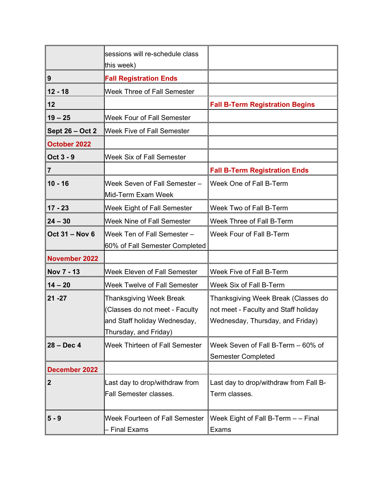|                       | sessions will re-schedule class<br>this week)                                                                             |                                                                                                                 |
|-----------------------|---------------------------------------------------------------------------------------------------------------------------|-----------------------------------------------------------------------------------------------------------------|
| 9                     | <b>Fall Registration Ends</b>                                                                                             |                                                                                                                 |
| $12 - 18$             | <b>Week Three of Fall Semester</b>                                                                                        |                                                                                                                 |
| 12                    |                                                                                                                           | <b>Fall B-Term Registration Begins</b>                                                                          |
| $19 - 25$             | Week Four of Fall Semester                                                                                                |                                                                                                                 |
| Sept 26 - Oct 2       | <b>Week Five of Fall Semester</b>                                                                                         |                                                                                                                 |
| October 2022          |                                                                                                                           |                                                                                                                 |
| Oct 3 - 9             | <b>Week Six of Fall Semester</b>                                                                                          |                                                                                                                 |
| 7                     |                                                                                                                           | <b>Fall B-Term Registration Ends</b>                                                                            |
| $10 - 16$             | Week Seven of Fall Semester -<br>Mid-Term Exam Week                                                                       | Week One of Fall B-Term                                                                                         |
| $17 - 23$             | Week Eight of Fall Semester                                                                                               | Week Two of Fall B-Term                                                                                         |
| $24 - 30$             | <b>Week Nine of Fall Semester</b>                                                                                         | Week Three of Fall B-Term                                                                                       |
| <b>Oct 31 - Nov 6</b> | Week Ten of Fall Semester -<br>60% of Fall Semester Completed                                                             | Week Four of Fall B-Term                                                                                        |
| <b>November 2022</b>  |                                                                                                                           |                                                                                                                 |
| Nov 7 - 13            | <b>Week Eleven of Fall Semester</b>                                                                                       | Week Five of Fall B-Term                                                                                        |
| $14 - 20$             | <b>Week Twelve of Fall Semester</b>                                                                                       | Week Six of Fall B-Term                                                                                         |
| $21 - 27$             | <b>Thanksgiving Week Break</b><br>(Classes do not meet - Faculty<br>and Staff holiday Wednesday,<br>Thursday, and Friday) | Thanksgiving Week Break (Classes do<br>not meet - Faculty and Staff holiday<br>Wednesday, Thursday, and Friday) |
| $28 - Dec 4$          | <b>Week Thirteen of Fall Semester</b>                                                                                     | Week Seven of Fall B-Term - 60% of<br><b>Semester Completed</b>                                                 |
| <b>December 2022</b>  |                                                                                                                           |                                                                                                                 |
| $\mathbf{2}$          | Last day to drop/withdraw from<br><b>Fall Semester classes.</b>                                                           | Last day to drop/withdraw from Fall B-<br>Term classes.                                                         |
| $5 - 9$               | Week Fourteen of Fall Semester<br><b>Final Exams</b>                                                                      | Week Eight of Fall B-Term - - Final<br>Exams                                                                    |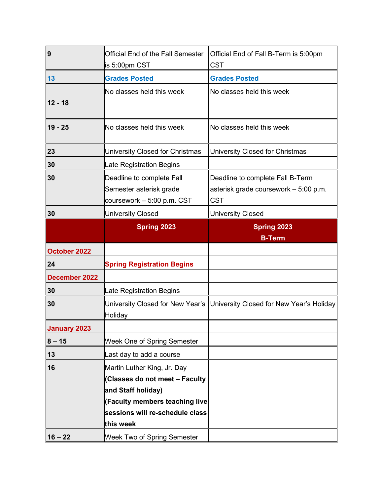| 9                   | Official End of the Fall Semester<br>is 5:00pm CST                                                   | Official End of Fall B-Term is 5:00pm<br><b>CST</b>                                     |
|---------------------|------------------------------------------------------------------------------------------------------|-----------------------------------------------------------------------------------------|
| 13                  | <b>Grades Posted</b>                                                                                 | <b>Grades Posted</b>                                                                    |
| $12 - 18$           | No classes held this week                                                                            | No classes held this week                                                               |
| $19 - 25$           | No classes held this week                                                                            | No classes held this week                                                               |
| 23                  | University Closed for Christmas                                                                      | University Closed for Christmas                                                         |
| 30                  | Late Registration Begins                                                                             |                                                                                         |
| 30                  | Deadline to complete Fall<br>Semester asterisk grade<br>coursework - 5:00 p.m. CST                   | Deadline to complete Fall B-Term<br>asterisk grade coursework - 5:00 p.m.<br><b>CST</b> |
| 30                  | <b>University Closed</b>                                                                             | <b>University Closed</b>                                                                |
|                     | <b>Spring 2023</b>                                                                                   | <b>Spring 2023</b><br><b>B-Term</b>                                                     |
| October 2022        |                                                                                                      |                                                                                         |
| 24                  | <b>Spring Registration Begins</b>                                                                    |                                                                                         |
| December 2022       |                                                                                                      |                                                                                         |
| 30                  | Late Registration Begins                                                                             |                                                                                         |
| 30                  | University Closed for New Year's<br>Holiday                                                          | University Closed for New Year's Holiday                                                |
| <b>January 2023</b> |                                                                                                      |                                                                                         |
| $8 - 15$            | <b>Week One of Spring Semester</b>                                                                   |                                                                                         |
| 13                  | Last day to add a course                                                                             |                                                                                         |
| 16                  | Martin Luther King, Jr. Day<br>(Classes do not meet - Faculty                                        |                                                                                         |
|                     | and Staff holiday)<br>(Faculty members teaching live<br>sessions will re-schedule class<br>this week |                                                                                         |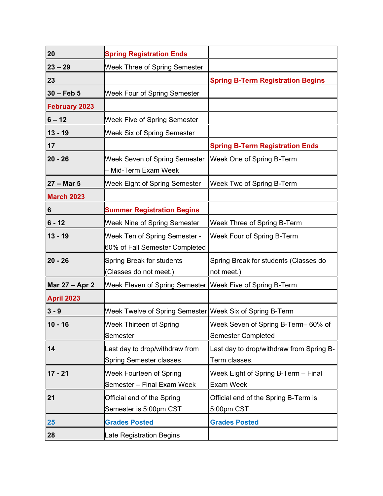| 20                   | <b>Spring Registration Ends</b>                                  |                                                                  |
|----------------------|------------------------------------------------------------------|------------------------------------------------------------------|
| $23 - 29$            | Week Three of Spring Semester                                    |                                                                  |
| 23                   |                                                                  | <b>Spring B-Term Registration Begins</b>                         |
| $30 - Feb 5$         | Week Four of Spring Semester                                     |                                                                  |
| <b>February 2023</b> |                                                                  |                                                                  |
| $6 - 12$             | Week Five of Spring Semester                                     |                                                                  |
| $13 - 19$            | Week Six of Spring Semester                                      |                                                                  |
| 17                   |                                                                  | <b>Spring B-Term Registration Ends</b>                           |
| $20 - 26$            | <b>Week Seven of Spring Semester</b><br>Mid-Term Exam Week       | Week One of Spring B-Term                                        |
| $27 - Mar$ 5         | Week Eight of Spring Semester                                    | Week Two of Spring B-Term                                        |
| <b>March 2023</b>    |                                                                  |                                                                  |
| 6                    | <b>Summer Registration Begins</b>                                |                                                                  |
| $6 - 12$             | Week Nine of Spring Semester                                     | Week Three of Spring B-Term                                      |
| $13 - 19$            | <b>Week Ten of Spring Semester -</b>                             | Week Four of Spring B-Term                                       |
|                      | 60% of Fall Semester Completed                                   |                                                                  |
| $20 - 26$            | Spring Break for students<br>(Classes do not meet.)              | Spring Break for students (Classes do<br>not meet.)              |
| Mar 27 - Apr 2       | Week Eleven of Spring Semester                                   | Week Five of Spring B-Term                                       |
| <b>April 2023</b>    |                                                                  |                                                                  |
| $3 - 9$              | Week Twelve of Spring Semester Week Six of Spring B-Term         |                                                                  |
| $10 - 16$            | Week Thirteen of Spring<br>Semester                              | Week Seven of Spring B-Term- 60% of<br><b>Semester Completed</b> |
| 14                   | Last day to drop/withdraw from<br><b>Spring Semester classes</b> | Last day to drop/withdraw from Spring B-<br>Term classes.        |
| $17 - 21$            | Week Fourteen of Spring<br>Semester - Final Exam Week            | Week Eight of Spring B-Term - Final<br><b>Exam Week</b>          |
| 21                   | Official end of the Spring<br>Semester is 5:00pm CST             | Official end of the Spring B-Term is<br>5:00pm CST               |
| 25                   | <b>Grades Posted</b>                                             | <b>Grades Posted</b>                                             |
| 28                   | Late Registration Begins                                         |                                                                  |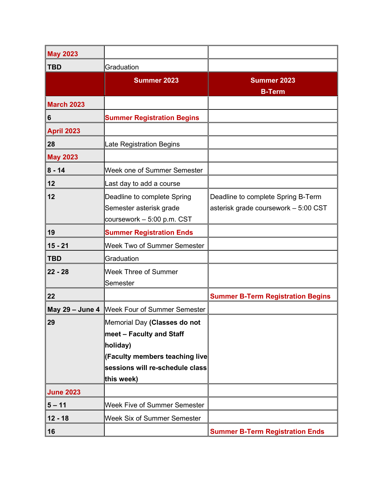| <b>May 2023</b>   |                                                                                                                                           |                                                                            |
|-------------------|-------------------------------------------------------------------------------------------------------------------------------------------|----------------------------------------------------------------------------|
| <b>TBD</b>        | Graduation                                                                                                                                |                                                                            |
|                   | <b>Summer 2023</b>                                                                                                                        | <b>Summer 2023</b><br><b>B-Term</b>                                        |
| <b>March 2023</b> |                                                                                                                                           |                                                                            |
| 6                 | <b>Summer Registration Begins</b>                                                                                                         |                                                                            |
| <b>April 2023</b> |                                                                                                                                           |                                                                            |
| 28                | Late Registration Begins                                                                                                                  |                                                                            |
| <b>May 2023</b>   |                                                                                                                                           |                                                                            |
| $8 - 14$          | Week one of Summer Semester                                                                                                               |                                                                            |
| 12                | Last day to add a course                                                                                                                  |                                                                            |
| 12                | Deadline to complete Spring<br>Semester asterisk grade<br>coursework - 5:00 p.m. CST                                                      | Deadline to complete Spring B-Term<br>asterisk grade coursework - 5:00 CST |
| 19                | <b>Summer Registration Ends</b>                                                                                                           |                                                                            |
| $15 - 21$         | <b>Week Two of Summer Semester</b>                                                                                                        |                                                                            |
| <b>TBD</b>        | Graduation                                                                                                                                |                                                                            |
| $22 - 28$         | <b>Week Three of Summer</b><br>Semester                                                                                                   |                                                                            |
| 22                |                                                                                                                                           | <b>Summer B-Term Registration Begins</b>                                   |
| May 29 - June 4   | <b>Week Four of Summer Semester</b>                                                                                                       |                                                                            |
| 29                | Memorial Day (Classes do not<br>meet – Faculty and Staff<br>holiday)<br>(Faculty members teaching live<br>sessions will re-schedule class |                                                                            |
|                   | this week)                                                                                                                                |                                                                            |
| <b>June 2023</b>  |                                                                                                                                           |                                                                            |
| $5 - 11$          | <b>Week Five of Summer Semester</b>                                                                                                       |                                                                            |
| $12 - 18$         | Week Six of Summer Semester                                                                                                               |                                                                            |
| 16                |                                                                                                                                           | <b>Summer B-Term Registration Ends</b>                                     |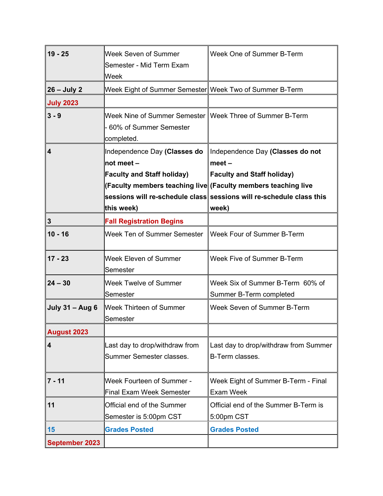| $19 - 25$               | Week Seven of Summer<br>Semester - Mid Term Exam<br>Week               | Week One of Summer B-Term                                            |
|-------------------------|------------------------------------------------------------------------|----------------------------------------------------------------------|
| $26 - July 2$           | Week Eight of Summer Semester Week Two of Summer B-Term                |                                                                      |
| <b>July 2023</b>        |                                                                        |                                                                      |
| $3 - 9$                 | Week Nine of Summer Semester<br>- 60% of Summer Semester<br>completed. | <b>Week Three of Summer B-Term</b>                                   |
| $\overline{\mathbf{4}}$ | Independence Day (Classes do                                           | Independence Day (Classes do not                                     |
|                         | $\ln$ ot meet –                                                        | $meet -$                                                             |
|                         | <b>Faculty and Staff holiday)</b>                                      | <b>Faculty and Staff holiday)</b>                                    |
|                         |                                                                        | (Faculty members teaching live (Faculty members teaching live        |
|                         |                                                                        | sessions will re-schedule class sessions will re-schedule class this |
|                         | this week)                                                             | week)                                                                |
| $\mathbf{3}$            | <b>Fall Registration Begins</b>                                        |                                                                      |
| $10 - 16$               | Week Ten of Summer Semester                                            | Week Four of Summer B-Term                                           |
| $17 - 23$               | Week Eleven of Summer<br>Semester                                      | Week Five of Summer B-Term                                           |
| $24 - 30$               | <b>Week Twelve of Summer</b><br>Semester                               | Week Six of Summer B-Term 60% of<br>Summer B-Term completed          |
| <b>July 31 - Aug 6</b>  | <b>Week Thirteen of Summer</b><br>Semester                             | Week Seven of Summer B-Term                                          |
| <b>August 2023</b>      |                                                                        |                                                                      |
| $\overline{\mathbf{4}}$ | Last day to drop/withdraw from<br>Summer Semester classes.             | Last day to drop/withdraw from Summer<br>B-Term classes.             |
| $7 - 11$                | <b>Week Fourteen of Summer -</b><br><b>Final Exam Week Semester</b>    | Week Eight of Summer B-Term - Final<br><b>Exam Week</b>              |
| 11                      | Official end of the Summer<br>Semester is 5:00pm CST                   | Official end of the Summer B-Term is<br>5:00pm CST                   |
| 15                      | <b>Grades Posted</b>                                                   | <b>Grades Posted</b>                                                 |
| <b>September 2023</b>   |                                                                        |                                                                      |